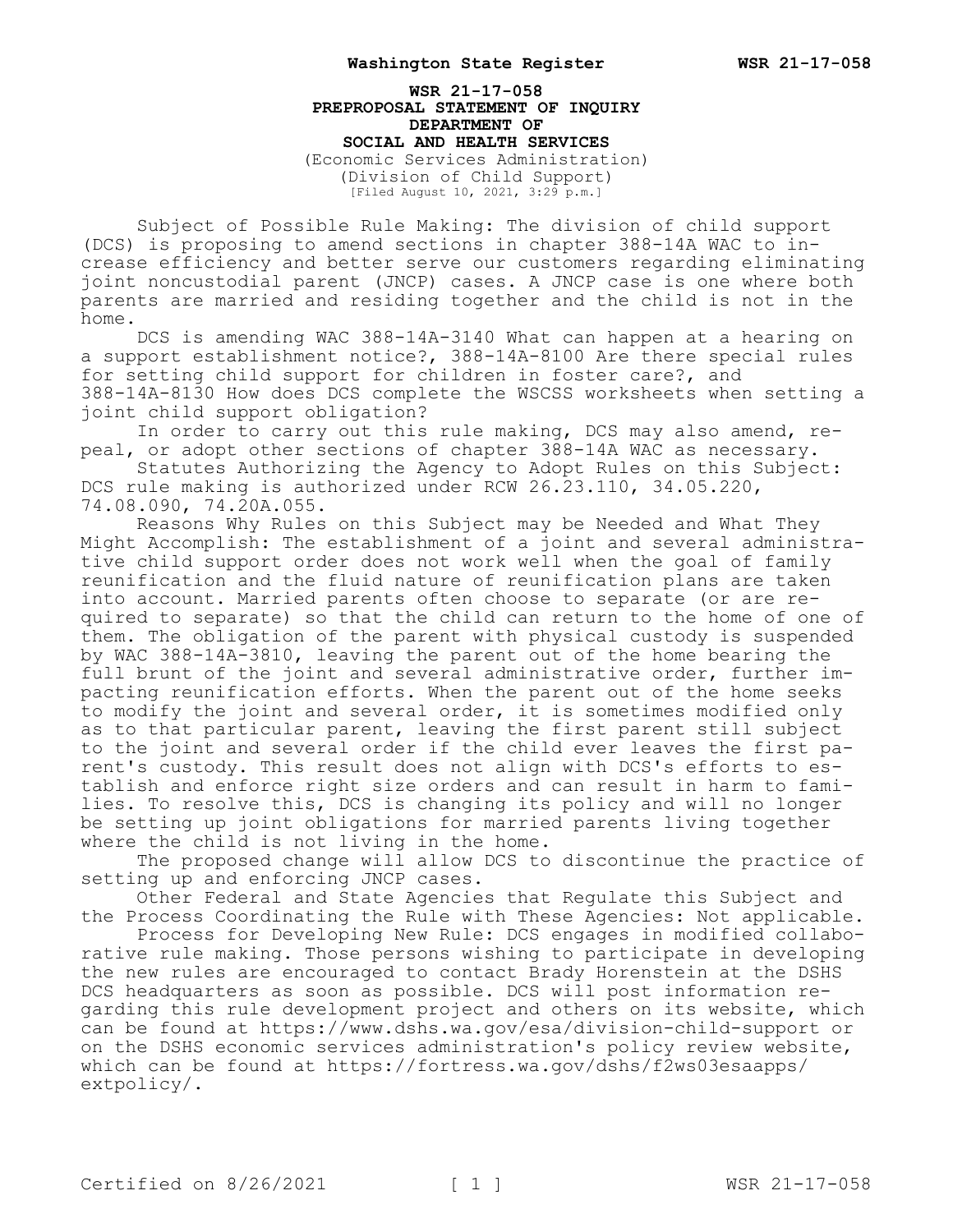**WSR 21-17-058 PREPROPOSAL STATEMENT OF INQUIRY DEPARTMENT OF SOCIAL AND HEALTH SERVICES** (Economic Services Administration) (Division of Child Support) [Filed August 10, 2021, 3:29 p.m.]

Subject of Possible Rule Making: The division of child support (DCS) is proposing to amend sections in chapter 388-14A WAC to increase efficiency and better serve our customers regarding eliminating joint noncustodial parent (JNCP) cases. A JNCP case is one where both parents are married and residing together and the child is not in the home.

DCS is amending WAC 388-14A-3140 What can happen at a hearing on a support establishment notice?, 388-14A-8100 Are there special rules for setting child support for children in foster care?, and 388-14A-8130 How does DCS complete the WSCSS worksheets when setting a joint child support obligation?

In order to carry out this rule making, DCS may also amend, repeal, or adopt other sections of chapter 388-14A WAC as necessary.

Statutes Authorizing the Agency to Adopt Rules on this Subject: DCS rule making is authorized under RCW 26.23.110, 34.05.220, 74.08.090, 74.20A.055.

Reasons Why Rules on this Subject may be Needed and What They Might Accomplish: The establishment of a joint and several administrative child support order does not work well when the goal of family reunification and the fluid nature of reunification plans are taken into account. Married parents often choose to separate (or are required to separate) so that the child can return to the home of one of them. The obligation of the parent with physical custody is suspended by WAC 388-14A-3810, leaving the parent out of the home bearing the full brunt of the joint and several administrative order, further impacting reunification efforts. When the parent out of the home seeks to modify the joint and several order, it is sometimes modified only as to that particular parent, leaving the first parent still subject to the joint and several order if the child ever leaves the first parent's custody. This result does not align with DCS's efforts to establish and enforce right size orders and can result in harm to families. To resolve this, DCS is changing its policy and will no longer be setting up joint obligations for married parents living together where the child is not living in the home.

The proposed change will allow DCS to discontinue the practice of setting up and enforcing JNCP cases.

Other Federal and State Agencies that Regulate this Subject and the Process Coordinating the Rule with These Agencies: Not applicable.

Process for Developing New Rule: DCS engages in modified collaborative rule making. Those persons wishing to participate in developing the new rules are encouraged to contact Brady Horenstein at the DSHS DCS headquarters as soon as possible. DCS will post information regarding this rule development project and others on its website, which can be found at https://www.dshs.wa.gov/esa/division-child-support or on the DSHS economic services administration's policy review website, which can be found at https://fortress.wa.gov/dshs/f2ws03esaapps/ extpolicy/.